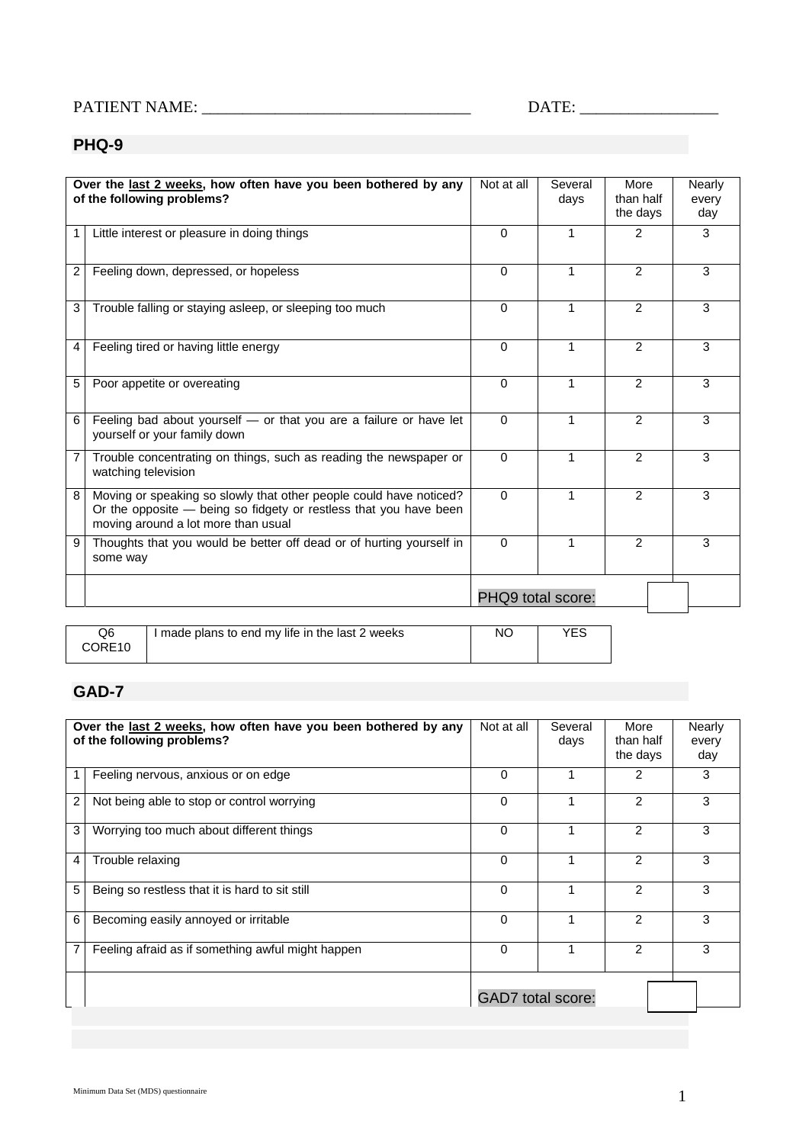## PATIENT NAME: \_\_\_\_\_\_\_\_\_\_\_\_\_\_\_\_\_\_\_\_\_\_\_\_\_\_\_\_\_\_\_\_\_ DATE: \_\_\_\_\_\_\_\_\_\_\_\_\_\_\_\_\_

## **PHQ-9**

|                                                                                              | Over the last 2 weeks, how often have you been bothered by any<br>of the following problems?                                                                                   | Not at all        | Several<br>days | More<br>than half<br>the days | Nearly<br>every<br>day |  |  |
|----------------------------------------------------------------------------------------------|--------------------------------------------------------------------------------------------------------------------------------------------------------------------------------|-------------------|-----------------|-------------------------------|------------------------|--|--|
|                                                                                              | Little interest or pleasure in doing things                                                                                                                                    | $\Omega$          | 1               | 2                             | 3                      |  |  |
| 2                                                                                            | Feeling down, depressed, or hopeless                                                                                                                                           | $\Omega$          | 1               | 2                             | 3                      |  |  |
| 3                                                                                            | Trouble falling or staying asleep, or sleeping too much                                                                                                                        | $\Omega$          | 1               | 2                             | 3                      |  |  |
| 4                                                                                            | Feeling tired or having little energy                                                                                                                                          | $\Omega$          | 1               | $\mathcal{P}$                 | 3                      |  |  |
| 5                                                                                            | Poor appetite or overeating                                                                                                                                                    | $\Omega$          | $\mathbf{1}$    | $\mathcal{P}$                 | 3                      |  |  |
| 6                                                                                            | Feeling bad about yourself - or that you are a failure or have let<br>yourself or your family down                                                                             | $\Omega$          | 1               | 2                             | 3                      |  |  |
| 7                                                                                            | Trouble concentrating on things, such as reading the newspaper or<br>watching television                                                                                       | $\Omega$          | 1               | 2                             | 3                      |  |  |
| 8                                                                                            | Moving or speaking so slowly that other people could have noticed?<br>Or the opposite - being so fidgety or restless that you have been<br>moving around a lot more than usual | $\Omega$          | 1               | $\mathcal{P}$                 | 3                      |  |  |
| 9                                                                                            | Thoughts that you would be better off dead or of hurting yourself in<br>some way                                                                                               | $\Omega$          | 1               | 2                             | 3                      |  |  |
|                                                                                              |                                                                                                                                                                                | PHQ9 total score: |                 |                               |                        |  |  |
| <b>YES</b><br>Q <sub>6</sub><br><b>NO</b><br>I made plans to end my life in the last 2 weeks |                                                                                                                                                                                |                   |                 |                               |                        |  |  |

| GAD-7 |  |
|-------|--|

CORE10

| Over the last 2 weeks, how often have you been bothered by any<br>of the following problems? |                                                   |                          | Several<br>days | More<br>than half<br>the days | Nearly<br>every<br>day |
|----------------------------------------------------------------------------------------------|---------------------------------------------------|--------------------------|-----------------|-------------------------------|------------------------|
|                                                                                              | Feeling nervous, anxious or on edge               | 0                        |                 | 2                             | 3                      |
| 2                                                                                            | Not being able to stop or control worrying        | $\mathbf{0}$             |                 | 2                             | 3                      |
| 3                                                                                            | Worrying too much about different things          | $\mathbf{0}$             |                 | $\overline{2}$                | 3                      |
| 4                                                                                            | Trouble relaxing                                  | 0                        |                 | 2                             | 3                      |
| 5                                                                                            | Being so restless that it is hard to sit still    | 0                        |                 | $\overline{2}$                | 3                      |
| 6                                                                                            | Becoming easily annoyed or irritable              | 0                        |                 | $\overline{2}$                | 3                      |
| 7                                                                                            | Feeling afraid as if something awful might happen | 0                        |                 | 2                             | 3                      |
|                                                                                              |                                                   | <b>GAD7</b> total score: |                 |                               |                        |